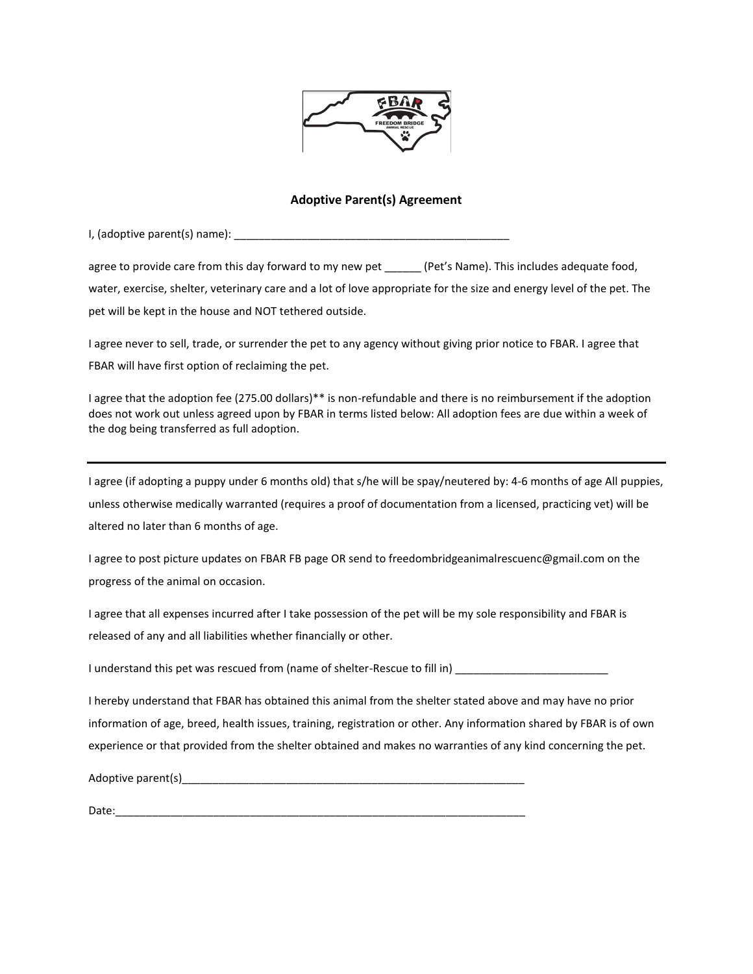

## **Adoptive Parent(s) Agreement**

I, (adoptive parent(s) name): \_\_\_\_\_\_\_\_\_\_\_\_\_\_\_\_\_\_\_\_\_\_\_\_\_\_\_\_\_\_\_\_\_\_\_\_\_\_\_\_\_\_\_\_\_

agree to provide care from this day forward to my new pet (Pet's Name). This includes adequate food, water, exercise, shelter, veterinary care and a lot of love appropriate for the size and energy level of the pet. The pet will be kept in the house and NOT tethered outside.

I agree never to sell, trade, or surrender the pet to any agency without giving prior notice to FBAR. I agree that FBAR will have first option of reclaiming the pet.

I agree that the adoption fee (275.00 dollars)\*\* is non-refundable and there is no reimbursement if the adoption does not work out unless agreed upon by FBAR in terms listed below: All adoption fees are due within a week of the dog being transferred as full adoption.

I agree (if adopting a puppy under 6 months old) that s/he will be spay/neutered by: 4-6 months of age All puppies, unless otherwise medically warranted (requires a proof of documentation from a licensed, practicing vet) will be altered no later than 6 months of age.

I agree to post picture updates on FBAR FB page OR send to freedombridgeanimalrescuenc@gmail.com on the progress of the animal on occasion.

I agree that all expenses incurred after I take possession of the pet will be my sole responsibility and FBAR is released of any and all liabilities whether financially or other.

I understand this pet was rescued from (name of shelter-Rescue to fill in) \_\_\_\_\_\_\_\_\_\_\_\_

I hereby understand that FBAR has obtained this animal from the shelter stated above and may have no prior information of age, breed, health issues, training, registration or other. Any information shared by FBAR is of own experience or that provided from the shelter obtained and makes no warranties of any kind concerning the pet.

Adoptive parent(s) example and the set of the set of the set of the set of the set of the set of the set of the set of the set of the set of the set of the set of the set of the set of the set of the set of the set of the

Date: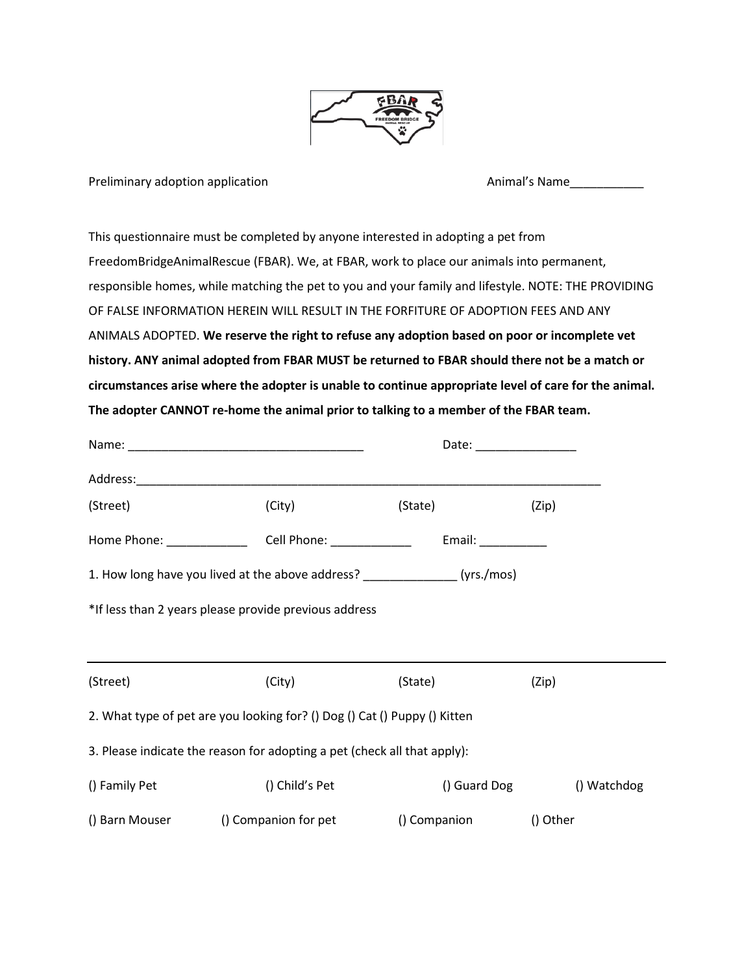

Preliminary adoption application Animal's Name\_\_\_\_\_\_\_\_\_\_\_\_\_\_\_\_\_\_\_\_\_\_\_\_\_\_\_\_\_\_\_\_\_\_

This questionnaire must be completed by anyone interested in adopting a pet from FreedomBridgeAnimalRescue (FBAR). We, at FBAR, work to place our animals into permanent, responsible homes, while matching the pet to you and your family and lifestyle. NOTE: THE PROVIDING OF FALSE INFORMATION HEREIN WILL RESULT IN THE FORFITURE OF ADOPTION FEES AND ANY ANIMALS ADOPTED. **We reserve the right to refuse any adoption based on poor or incomplete vet history. ANY animal adopted from FBAR MUST be returned to FBAR should there not be a match or circumstances arise where the adopter is unable to continue appropriate level of care for the animal. The adopter CANNOT re-home the animal prior to talking to a member of the FBAR team.**

|                                                                             |                                                                                  | Date: _______________                     |             |  |  |  |  |
|-----------------------------------------------------------------------------|----------------------------------------------------------------------------------|-------------------------------------------|-------------|--|--|--|--|
|                                                                             |                                                                                  |                                           |             |  |  |  |  |
| (Street)                                                                    | (City)                                                                           | (State) <b>State</b>                      | (Zip)       |  |  |  |  |
|                                                                             | Home Phone: __________________________Cell Phone: ______________________________ | Email: $\_\_\_\_\_\_\_\_\_\_\_\_\_\_\_\_$ |             |  |  |  |  |
| 1. How long have you lived at the above address? ________________(yrs./mos) |                                                                                  |                                           |             |  |  |  |  |
|                                                                             | *If less than 2 years please provide previous address                            |                                           |             |  |  |  |  |
|                                                                             | <u> 1980 - Johann Stoff, amerikansk politiker (d. 1980)</u>                      |                                           |             |  |  |  |  |
| (Street)                                                                    | (City)                                                                           | (State)                                   | (Zip)       |  |  |  |  |
|                                                                             | 2. What type of pet are you looking for? () Dog () Cat () Puppy () Kitten        |                                           |             |  |  |  |  |
|                                                                             | 3. Please indicate the reason for adopting a pet (check all that apply):         |                                           |             |  |  |  |  |
| () Family Pet                                                               | () Child's Pet                                                                   | () Guard Dog                              | () Watchdog |  |  |  |  |
|                                                                             | () Barn Mouser () Companion for pet () Companion                                 |                                           | () Other    |  |  |  |  |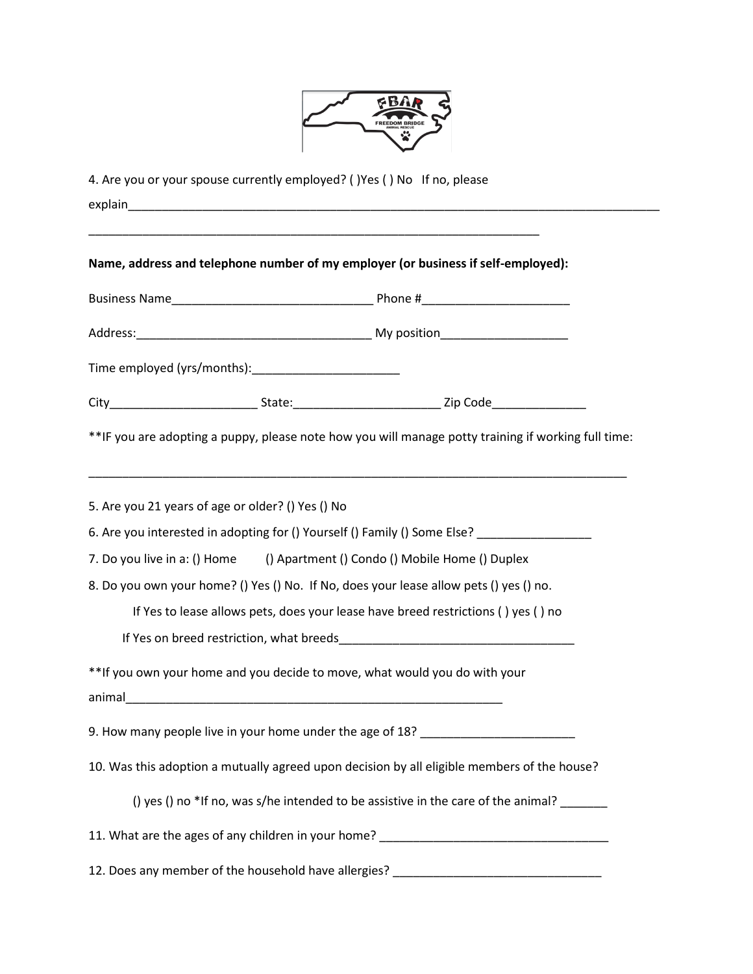

|                                                   |  | 4. Are you or your spouse currently employed? () Yes () No If no, please                                                             |  |  |  |
|---------------------------------------------------|--|--------------------------------------------------------------------------------------------------------------------------------------|--|--|--|
|                                                   |  | <u> 1990 - Johann John Stone, mars et al. (</u><br>Name, address and telephone number of my employer (or business if self-employed): |  |  |  |
|                                                   |  |                                                                                                                                      |  |  |  |
|                                                   |  |                                                                                                                                      |  |  |  |
|                                                   |  |                                                                                                                                      |  |  |  |
|                                                   |  |                                                                                                                                      |  |  |  |
|                                                   |  | **IF you are adopting a puppy, please note how you will manage potty training if working full time:                                  |  |  |  |
| 5. Are you 21 years of age or older? () Yes () No |  |                                                                                                                                      |  |  |  |
|                                                   |  | 6. Are you interested in adopting for () Yourself () Family () Some Else? _________________________                                  |  |  |  |
|                                                   |  | 7. Do you live in a: () Home () Apartment () Condo () Mobile Home () Duplex                                                          |  |  |  |
|                                                   |  | 8. Do you own your home? () Yes () No. If No, does your lease allow pets () yes () no.                                               |  |  |  |
|                                                   |  | If Yes to lease allows pets, does your lease have breed restrictions () yes () no                                                    |  |  |  |
|                                                   |  |                                                                                                                                      |  |  |  |
|                                                   |  | ** If you own your home and you decide to move, what would you do with your                                                          |  |  |  |
|                                                   |  | 9. How many people live in your home under the age of 18? ______________________                                                     |  |  |  |
|                                                   |  | 10. Was this adoption a mutually agreed upon decision by all eligible members of the house?                                          |  |  |  |
|                                                   |  | () yes () no *If no, was s/he intended to be assistive in the care of the animal? ______                                             |  |  |  |
|                                                   |  | 11. What are the ages of any children in your home? _____________________________                                                    |  |  |  |
|                                                   |  | 12. Does any member of the household have allergies? ___________________________                                                     |  |  |  |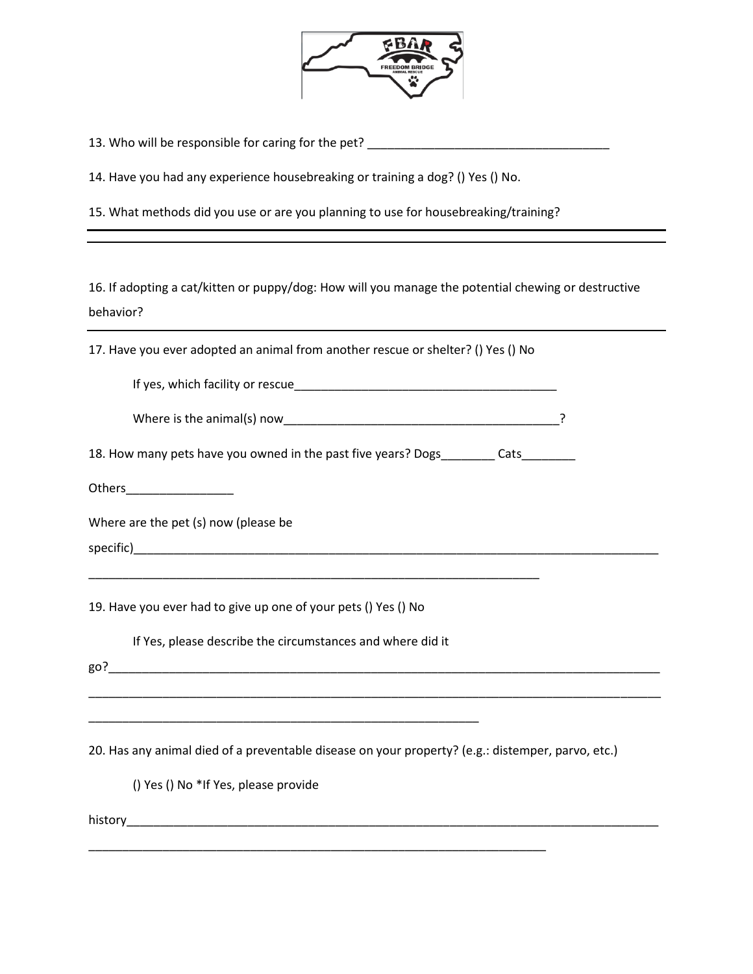

13. Who will be responsible for caring for the pet? \_\_\_\_\_\_\_\_\_\_\_\_\_\_\_\_\_\_\_\_\_\_\_\_\_\_\_\_

14. Have you had any experience housebreaking or training a dog? () Yes () No.

15. What methods did you use or are you planning to use for housebreaking/training?

16. If adopting a cat/kitten or puppy/dog: How will you manage the potential chewing or destructive behavior?

17. Have you ever adopted an animal from another rescue or shelter? () Yes () No

If yes, which facility or rescue\_\_\_\_\_\_\_\_\_\_\_\_\_\_\_\_\_\_\_\_\_\_\_\_\_\_\_\_\_\_\_\_\_\_\_\_\_\_\_

| Where is the animal(s) now |
|----------------------------|
|----------------------------|

18. How many pets have you owned in the past five years? Dogs\_\_\_\_\_\_\_\_ Cats\_\_\_\_\_\_\_

Others\_\_\_\_\_\_\_\_\_\_\_\_\_\_\_\_

Where are the pet (s) now (please be

specific)

19. Have you ever had to give up one of your pets () Yes () No

If Yes, please describe the circumstances and where did it

\_\_\_\_\_\_\_\_\_\_\_\_\_\_\_\_\_\_\_\_\_\_\_\_\_\_\_\_\_\_\_\_\_\_\_\_\_\_\_\_\_\_\_\_\_\_\_\_\_\_\_\_\_\_\_\_\_\_

\_\_\_\_\_\_\_\_\_\_\_\_\_\_\_\_\_\_\_\_\_\_\_\_\_\_\_\_\_\_\_\_\_\_\_\_\_\_\_\_\_\_\_\_\_\_\_\_\_\_\_\_\_\_\_\_\_\_\_\_\_\_\_\_\_\_\_

go?\_\_\_\_\_\_\_\_\_\_\_\_\_\_\_\_\_\_\_\_\_\_\_\_\_\_\_\_\_\_\_\_\_\_\_\_\_\_\_\_\_\_\_\_\_\_\_\_\_\_\_\_\_\_\_\_\_\_\_\_\_\_\_\_\_\_\_\_\_\_\_\_\_\_\_\_\_\_\_\_\_\_

20. Has any animal died of a preventable disease on your property? (e.g.: distemper, parvo, etc.)

\_\_\_\_\_\_\_\_\_\_\_\_\_\_\_\_\_\_\_\_\_\_\_\_\_\_\_\_\_\_\_\_\_\_\_\_\_\_\_\_\_\_\_\_\_\_\_\_\_\_\_\_\_\_\_\_\_\_\_\_\_\_\_\_\_\_\_\_

\_\_\_\_\_\_\_\_\_\_\_\_\_\_\_\_\_\_\_\_\_\_\_\_\_\_\_\_\_\_\_\_\_\_\_\_\_\_\_\_\_\_\_\_\_\_\_\_\_\_\_\_\_\_\_\_\_\_\_\_\_\_\_\_\_\_\_\_\_\_\_\_\_\_\_\_\_\_\_\_\_\_\_\_\_

() Yes () No \*If Yes, please provide

history\_\_\_\_\_\_\_\_\_\_\_\_\_\_\_\_\_\_\_\_\_\_\_\_\_\_\_\_\_\_\_\_\_\_\_\_\_\_\_\_\_\_\_\_\_\_\_\_\_\_\_\_\_\_\_\_\_\_\_\_\_\_\_\_\_\_\_\_\_\_\_\_\_\_\_\_\_\_\_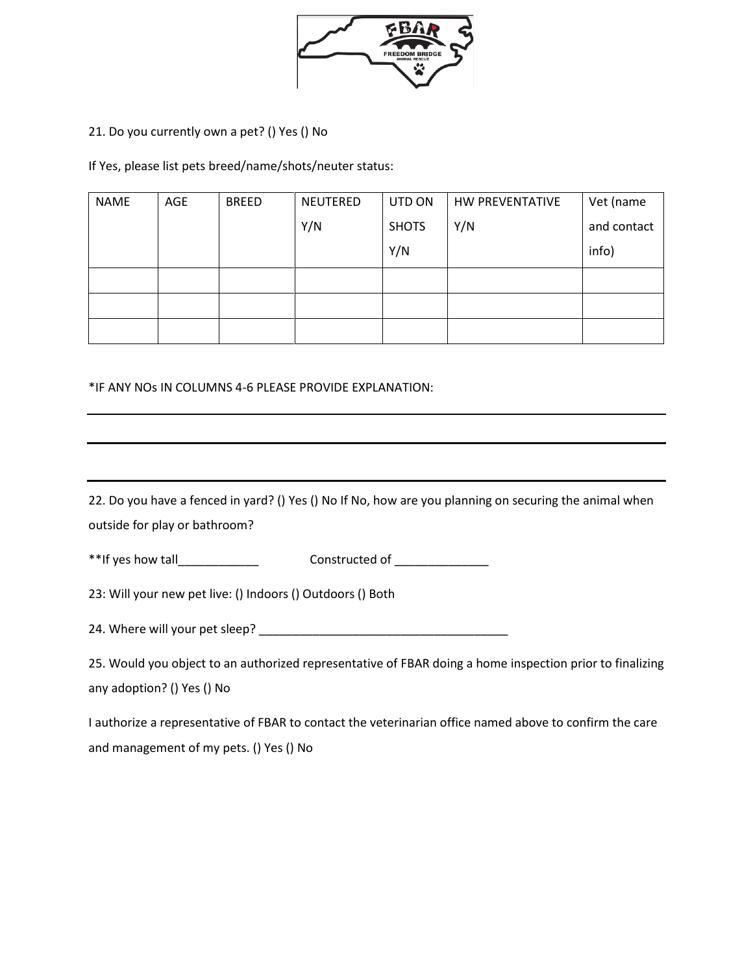

# 21. Do you currently own a pet? () Yes () No

If Yes, please list pets breed/name/shots/neuter status:

| <b>NAME</b> | AGE | <b>BREED</b> | NEUTERED | UTD ON       | <b>HW PREVENTATIVE</b> | Vet (name   |
|-------------|-----|--------------|----------|--------------|------------------------|-------------|
|             |     |              | Y/N      | <b>SHOTS</b> | Y/N                    | and contact |
|             |     |              |          | Y/N          |                        | info)       |
|             |     |              |          |              |                        |             |
|             |     |              |          |              |                        |             |
|             |     |              |          |              |                        |             |

\*IF ANY NOs IN COLUMNS 4-6 PLEASE PROVIDE EXPLANATION:

| 22. Do you have a fenced in yard? () Yes () No If No, how are you planning on securing the animal when                                 |  |  |  |  |
|----------------------------------------------------------------------------------------------------------------------------------------|--|--|--|--|
| outside for play or bathroom?                                                                                                          |  |  |  |  |
| Constructed of ______________                                                                                                          |  |  |  |  |
| 23: Will your new pet live: () Indoors () Outdoors () Both                                                                             |  |  |  |  |
|                                                                                                                                        |  |  |  |  |
| 25. Would you object to an authorized representative of FBAR doing a home inspection prior to finalizing<br>any adoption? () Yes () No |  |  |  |  |
| I authorize a representative of FBAR to contact the veterinarian office named above to confirm the care                                |  |  |  |  |

and management of my pets. () Yes () No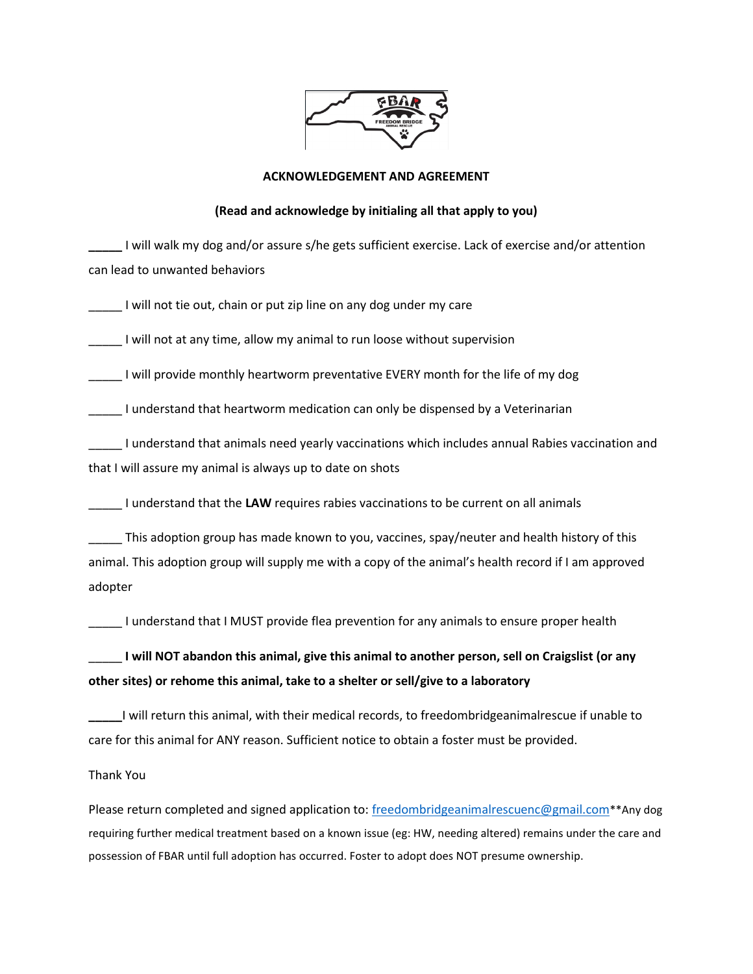

## **ACKNOWLEDGEMENT AND AGREEMENT**

### **(Read and acknowledge by initialing all that apply to you)**

**\_\_\_\_\_** I will walk my dog and/or assure s/he gets sufficient exercise. Lack of exercise and/or attention can lead to unwanted behaviors

I will not tie out, chain or put zip line on any dog under my care

I will not at any time, allow my animal to run loose without supervision

I will provide monthly heartworm preventative EVERY month for the life of my dog

\_\_\_\_\_ I understand that heartworm medication can only be dispensed by a Veterinarian

\_\_\_\_\_ I understand that animals need yearly vaccinations which includes annual Rabies vaccination and that I will assure my animal is always up to date on shots

\_\_\_\_\_ I understand that the **LAW** requires rabies vaccinations to be current on all animals

\_\_\_\_\_ This adoption group has made known to you, vaccines, spay/neuter and health history of this animal. This adoption group will supply me with a copy of the animal's health record if I am approved adopter

\_\_\_\_\_ I understand that I MUST provide flea prevention for any animals to ensure proper health

\_\_\_\_\_ **I will NOT abandon this animal, give this animal to another person, sell on Craigslist (or any other sites) or rehome this animal, take to a shelter or sell/give to a laboratory**

**\_\_\_\_\_**I will return this animal, with their medical records, to freedombridgeanimalrescue if unable to care for this animal for ANY reason. Sufficient notice to obtain a foster must be provided.

### Thank You

Please return completed and signed application to: [freedombridgeanimalrescuenc@gmail.com](mailto:freedombridgeanimalrescuenc@gmail.com)\*\*Any dog requiring further medical treatment based on a known issue (eg: HW, needing altered) remains under the care and possession of FBAR until full adoption has occurred. Foster to adopt does NOT presume ownership.